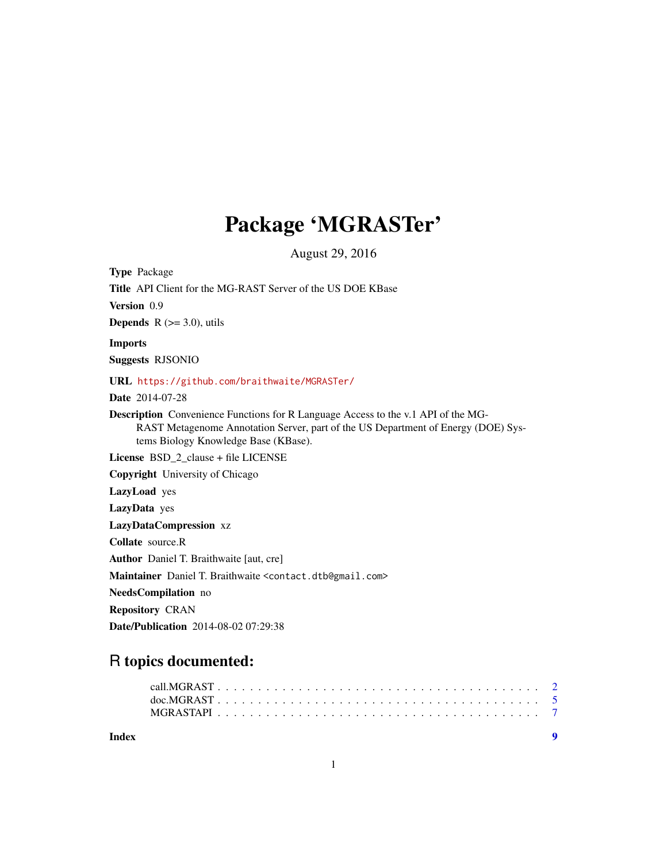## Package 'MGRASTer'

August 29, 2016

<span id="page-0-0"></span>Type Package Title API Client for the MG-RAST Server of the US DOE KBase Version 0.9 **Depends**  $R$  ( $>=$  3.0), utils Imports Suggests RJSONIO URL <https://github.com/braithwaite/MGRASTer/> Date 2014-07-28 Description Convenience Functions for R Language Access to the v.1 API of the MG-RAST Metagenome Annotation Server, part of the US Department of Energy (DOE) Systems Biology Knowledge Base (KBase). License BSD\_2\_clause + file LICENSE Copyright University of Chicago LazyLoad yes LazyData yes LazyDataCompression xz Collate source.R Author Daniel T. Braithwaite [aut, cre] Maintainer Daniel T. Braithwaite <contact.dtb@gmail.com> NeedsCompilation no Repository CRAN Date/Publication 2014-08-02 07:29:38

### R topics documented:

| Index |  |  |  |  |  |  |  |  |  |  |  |  |  |  |  |  | $\blacksquare$ |  |
|-------|--|--|--|--|--|--|--|--|--|--|--|--|--|--|--|--|----------------|--|
|       |  |  |  |  |  |  |  |  |  |  |  |  |  |  |  |  |                |  |
|       |  |  |  |  |  |  |  |  |  |  |  |  |  |  |  |  |                |  |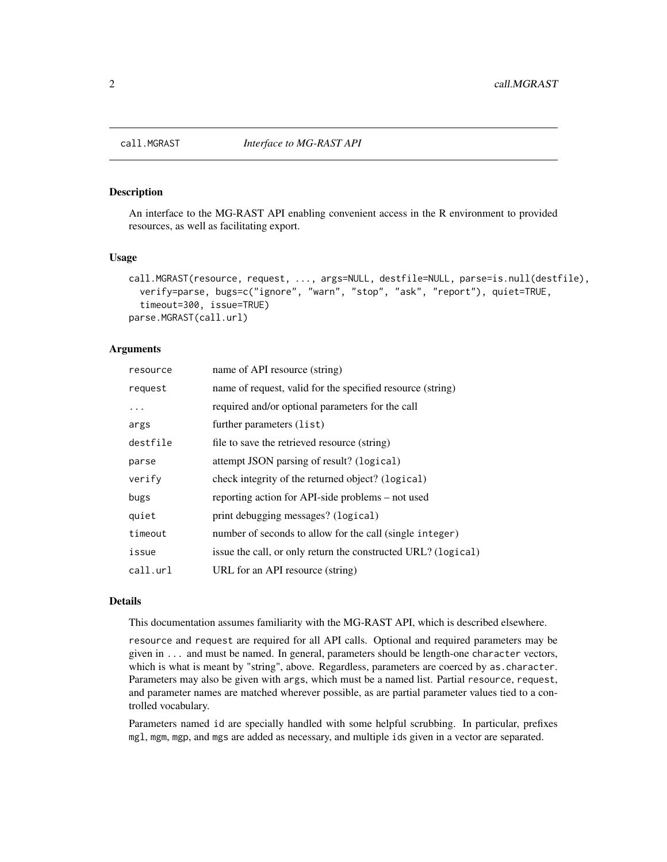<span id="page-1-1"></span><span id="page-1-0"></span>

#### <span id="page-1-2"></span>Description

An interface to the MG-RAST API enabling convenient access in the R environment to provided resources, as well as facilitating export.

#### Usage

```
call.MGRAST(resource, request, ..., args=NULL, destfile=NULL, parse=is.null(destfile),
  verify=parse, bugs=c("ignore", "warn", "stop", "ask", "report"), quiet=TRUE,
  timeout=300, issue=TRUE)
parse.MGRAST(call.url)
```
#### Arguments

| resource | name of API resource (string)                                 |
|----------|---------------------------------------------------------------|
| request  | name of request, valid for the specified resource (string)    |
| .        | required and/or optional parameters for the call              |
| args     | further parameters (list)                                     |
| destfile | file to save the retrieved resource (string)                  |
| parse    | attempt JSON parsing of result? (logical)                     |
| verify   | check integrity of the returned object? (logical)             |
| bugs     | reporting action for API-side problems – not used             |
| quiet    | print debugging messages? (logical)                           |
| timeout  | number of seconds to allow for the call (single integer)      |
| issue    | issue the call, or only return the constructed URL? (logical) |
| call.url | URL for an API resource (string)                              |

#### Details

This documentation assumes familiarity with the MG-RAST API, which is described elsewhere.

resource and request are required for all API calls. Optional and required parameters may be given in ... and must be named. In general, parameters should be length-one character vectors, which is what is meant by "string", above. Regardless, parameters are coerced by as. character. Parameters may also be given with args, which must be a named list. Partial resource, request, and parameter names are matched wherever possible, as are partial parameter values tied to a controlled vocabulary.

Parameters named id are specially handled with some helpful scrubbing. In particular, prefixes mgl, mgm, mgp, and mgs are added as necessary, and multiple ids given in a vector are separated.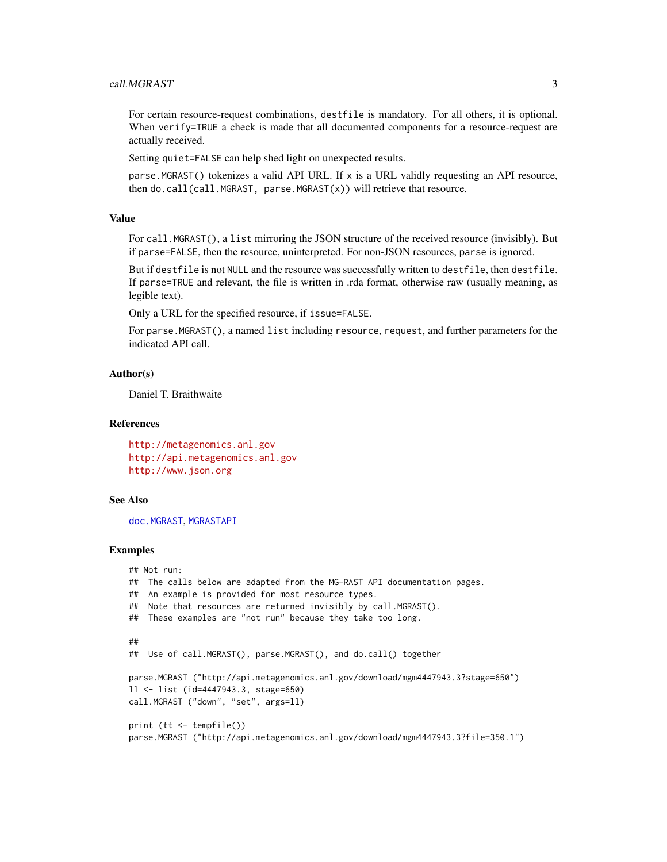#### <span id="page-2-0"></span>call.MGRAST 3

For certain resource-request combinations, destfile is mandatory. For all others, it is optional. When verify=TRUE a check is made that all documented components for a resource-request are actually received.

Setting quiet=FALSE can help shed light on unexpected results.

parse.MGRAST() tokenizes a valid API URL. If x is a URL validly requesting an API resource, then do.call(call.MGRAST, parse.MGRAST $(x)$ ) will retrieve that resource.

#### Value

For call.MGRAST(), a list mirroring the JSON structure of the received resource (invisibly). But if parse=FALSE, then the resource, uninterpreted. For non-JSON resources, parse is ignored.

But if destfile is not NULL and the resource was successfully written to destfile, then destfile. If parse=TRUE and relevant, the file is written in .rda format, otherwise raw (usually meaning, as legible text).

Only a URL for the specified resource, if issue=FALSE.

For parse.MGRAST(), a named list including resource, request, and further parameters for the indicated API call.

#### Author(s)

Daniel T. Braithwaite

#### References

<http://metagenomics.anl.gov> <http://api.metagenomics.anl.gov> <http://www.json.org>

#### See Also

[doc.MGRAST](#page-4-1), [MGRASTAPI](#page-6-1)

#### Examples

```
## Not run:
## The calls below are adapted from the MG-RAST API documentation pages.
## An example is provided for most resource types.
## Note that resources are returned invisibly by call.MGRAST().
## These examples are "not run" because they take too long.
##
## Use of call.MGRAST(), parse.MGRAST(), and do.call() together
parse.MGRAST ("http://api.metagenomics.anl.gov/download/mgm4447943.3?stage=650")
ll <- list (id=4447943.3, stage=650)
call.MGRAST ("down", "set", args=ll)
print (tt <- tempfile())
parse.MGRAST ("http://api.metagenomics.anl.gov/download/mgm4447943.3?file=350.1")
```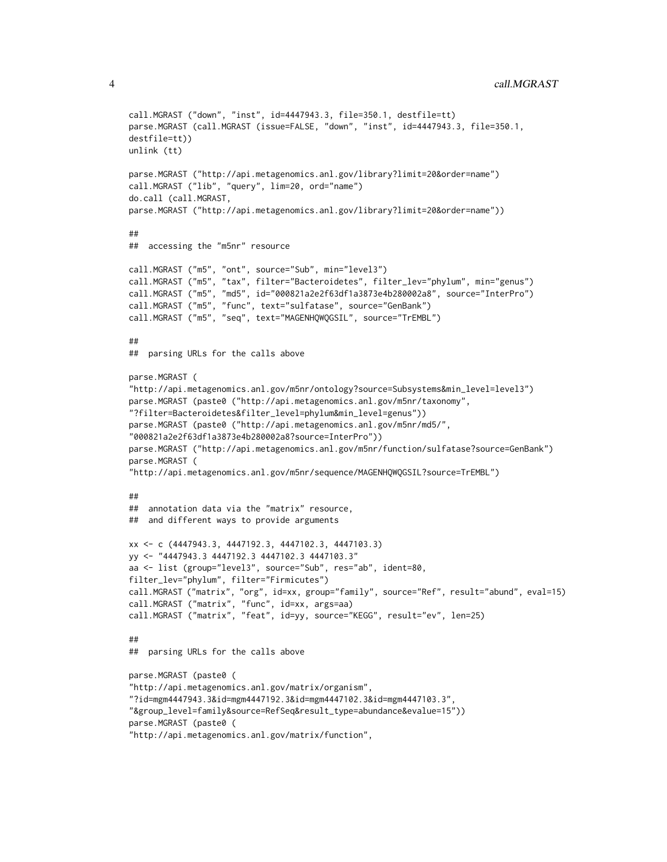```
call.MGRAST ("down", "inst", id=4447943.3, file=350.1, destfile=tt)
parse.MGRAST (call.MGRAST (issue=FALSE, "down", "inst", id=4447943.3, file=350.1,
destfile=tt))
unlink (tt)
parse.MGRAST ("http://api.metagenomics.anl.gov/library?limit=20&order=name")
call.MGRAST ("lib", "query", lim=20, ord="name")
do.call (call.MGRAST,
parse.MGRAST ("http://api.metagenomics.anl.gov/library?limit=20&order=name"))
##
## accessing the "m5nr" resource
call.MGRAST ("m5", "ont", source="Sub", min="level3")
call.MGRAST ("m5", "tax", filter="Bacteroidetes", filter_lev="phylum", min="genus")
call.MGRAST ("m5", "md5", id="000821a2e2f63df1a3873e4b280002a8", source="InterPro")
call.MGRAST ("m5", "func", text="sulfatase", source="GenBank")
call.MGRAST ("m5", "seq", text="MAGENHQWQGSIL", source="TrEMBL")
##
## parsing URLs for the calls above
parse.MGRAST (
"http://api.metagenomics.anl.gov/m5nr/ontology?source=Subsystems&min_level=level3")
parse.MGRAST (paste0 ("http://api.metagenomics.anl.gov/m5nr/taxonomy",
"?filter=Bacteroidetes&filter_level=phylum&min_level=genus"))
parse.MGRAST (paste0 ("http://api.metagenomics.anl.gov/m5nr/md5/",
"000821a2e2f63df1a3873e4b280002a8?source=InterPro"))
parse.MGRAST ("http://api.metagenomics.anl.gov/m5nr/function/sulfatase?source=GenBank")
parse.MGRAST (
"http://api.metagenomics.anl.gov/m5nr/sequence/MAGENHQWQGSIL?source=TrEMBL")
##
## annotation data via the "matrix" resource,
## and different ways to provide arguments
xx <- c (4447943.3, 4447192.3, 4447102.3, 4447103.3)
yy <- "4447943.3 4447192.3 4447102.3 4447103.3"
aa <- list (group="level3", source="Sub", res="ab", ident=80,
filter_lev="phylum", filter="Firmicutes")
call.MGRAST ("matrix", "org", id=xx, group="family", source="Ref", result="abund", eval=15)
call.MGRAST ("matrix", "func", id=xx, args=aa)
call.MGRAST ("matrix", "feat", id=yy, source="KEGG", result="ev", len=25)
##
## parsing URLs for the calls above
parse.MGRAST (paste0 (
"http://api.metagenomics.anl.gov/matrix/organism",
"?id=mgm4447943.3&id=mgm4447192.3&id=mgm4447102.3&id=mgm4447103.3",
"&group_level=family&source=RefSeq&result_type=abundance&evalue=15"))
parse.MGRAST (paste0 (
"http://api.metagenomics.anl.gov/matrix/function",
```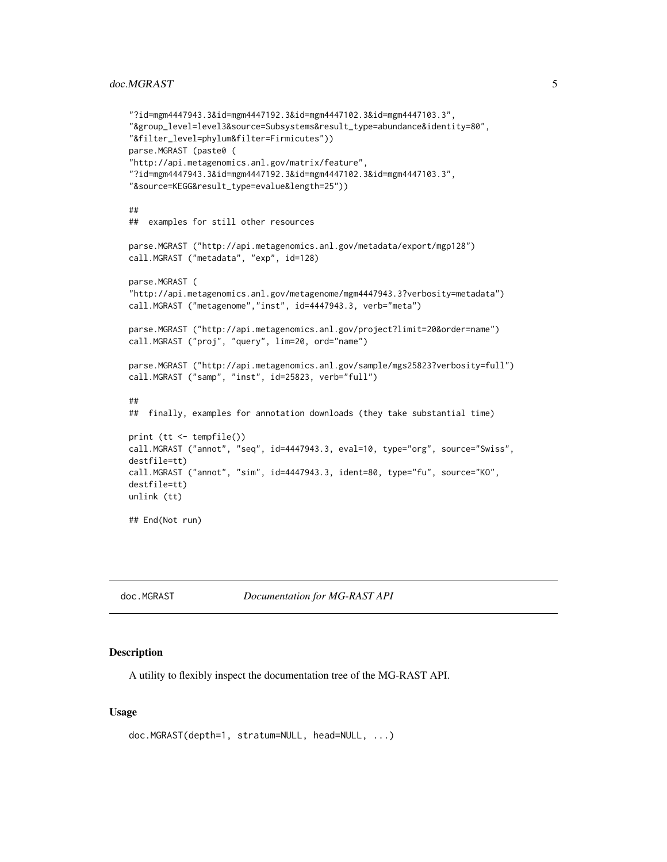#### <span id="page-4-0"></span>doc.MGRAST 5

```
"?id=mgm4447943.3&id=mgm4447192.3&id=mgm4447102.3&id=mgm4447103.3",
"&group_level=level3&source=Subsystems&result_type=abundance&identity=80",
"&filter_level=phylum&filter=Firmicutes"))
parse.MGRAST (paste0 (
"http://api.metagenomics.anl.gov/matrix/feature",
"?id=mgm4447943.3&id=mgm4447192.3&id=mgm4447102.3&id=mgm4447103.3",
"&source=KEGG&result_type=evalue&length=25"))
##
## examples for still other resources
parse.MGRAST ("http://api.metagenomics.anl.gov/metadata/export/mgp128")
call.MGRAST ("metadata", "exp", id=128)
parse.MGRAST (
"http://api.metagenomics.anl.gov/metagenome/mgm4447943.3?verbosity=metadata")
call.MGRAST ("metagenome","inst", id=4447943.3, verb="meta")
parse.MGRAST ("http://api.metagenomics.anl.gov/project?limit=20&order=name")
call.MGRAST ("proj", "query", lim=20, ord="name")
parse.MGRAST ("http://api.metagenomics.anl.gov/sample/mgs25823?verbosity=full")
call.MGRAST ("samp", "inst", id=25823, verb="full")
##
## finally, examples for annotation downloads (they take substantial time)
print (tt <- tempfile())
call.MGRAST ("annot", "seq", id=4447943.3, eval=10, type="org", source="Swiss",
destfile=tt)
call.MGRAST ("annot", "sim", id=4447943.3, ident=80, type="fu", source="KO",
destfile=tt)
unlink (tt)
## End(Not run)
```
<span id="page-4-1"></span>doc.MGRAST *Documentation for MG-RAST API*

#### Description

A utility to flexibly inspect the documentation tree of the MG-RAST API.

#### Usage

```
doc.MGRAST(depth=1, stratum=NULL, head=NULL, ...)
```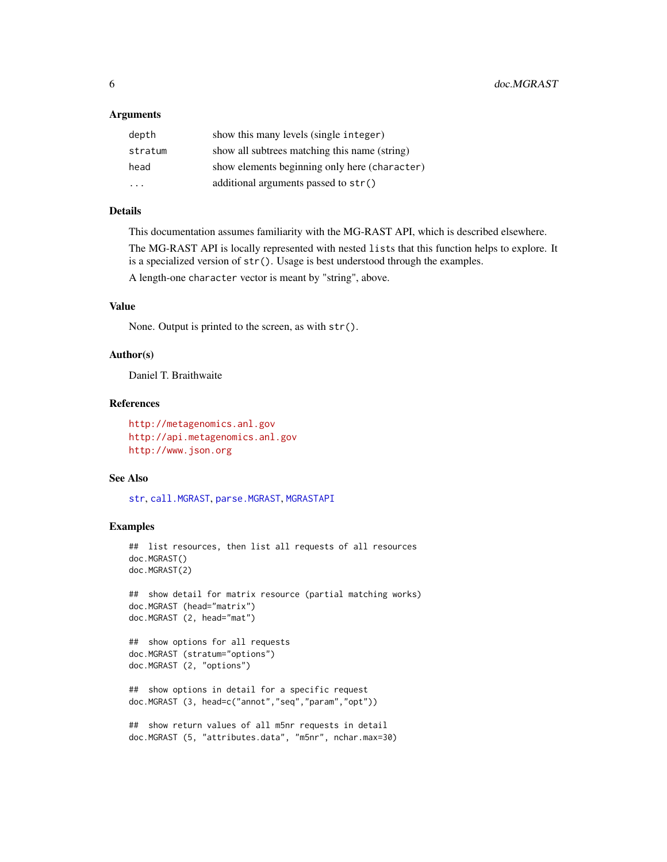#### <span id="page-5-0"></span>Arguments

| depth   | show this many levels (single integer)        |
|---------|-----------------------------------------------|
| stratum | show all subtrees matching this name (string) |
| head    | show elements beginning only here (character) |
| .       | additional arguments passed to $str()$        |

#### Details

This documentation assumes familiarity with the MG-RAST API, which is described elsewhere. The MG-RAST API is locally represented with nested lists that this function helps to explore. It is a specialized version of  $str()$ . Usage is best understood through the examples.

A length-one character vector is meant by "string", above.

#### Value

None. Output is printed to the screen, as with str().

#### Author(s)

Daniel T. Braithwaite

#### References

```
http://metagenomics.anl.gov
http://api.metagenomics.anl.gov
http://www.json.org
```
#### See Also

[str](#page-0-0), [call.MGRAST](#page-1-1), [parse.MGRAST](#page-1-2), [MGRASTAPI](#page-6-1)

#### Examples

```
## list resources, then list all requests of all resources
doc.MGRAST()
doc.MGRAST(2)
## show detail for matrix resource (partial matching works)
doc.MGRAST (head="matrix")
doc.MGRAST (2, head="mat")
## show options for all requests
doc.MGRAST (stratum="options")
doc.MGRAST (2, "options")
## show options in detail for a specific request
doc.MGRAST (3, head=c("annot","seq","param","opt"))
## show return values of all m5nr requests in detail
doc.MGRAST (5, "attributes.data", "m5nr", nchar.max=30)
```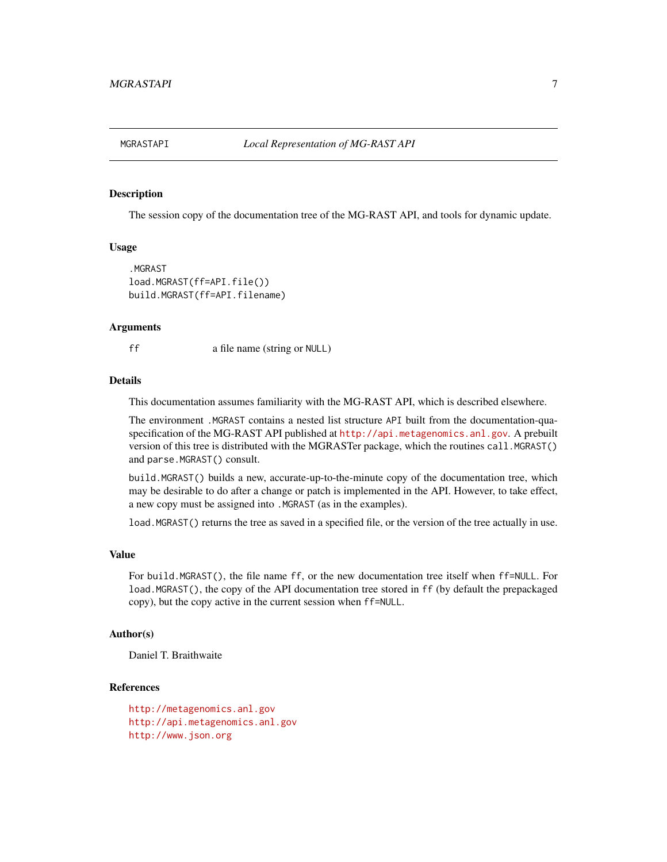<span id="page-6-1"></span><span id="page-6-0"></span>

#### **Description**

The session copy of the documentation tree of the MG-RAST API, and tools for dynamic update.

#### Usage

```
.MGRAST
load.MGRAST(ff=API.file())
build.MGRAST(ff=API.filename)
```
#### Arguments

ff a file name (string or NULL)

#### **Details**

This documentation assumes familiarity with the MG-RAST API, which is described elsewhere.

The environment .MGRAST contains a nested list structure API built from the documentation-quaspecification of the MG-RAST API published at <http://api.metagenomics.anl.gov>. A prebuilt version of this tree is distributed with the MGRASTer package, which the routines call.MGRAST() and parse.MGRAST() consult.

build.MGRAST() builds a new, accurate-up-to-the-minute copy of the documentation tree, which may be desirable to do after a change or patch is implemented in the API. However, to take effect, a new copy must be assigned into .MGRAST (as in the examples).

load.MGRAST() returns the tree as saved in a specified file, or the version of the tree actually in use.

#### Value

For build.MGRAST(), the file name ff, or the new documentation tree itself when ff=NULL. For load.MGRAST(), the copy of the API documentation tree stored in ff (by default the prepackaged copy), but the copy active in the current session when ff=NULL.

#### Author(s)

Daniel T. Braithwaite

#### References

```
http://metagenomics.anl.gov
http://api.metagenomics.anl.gov
http://www.json.org
```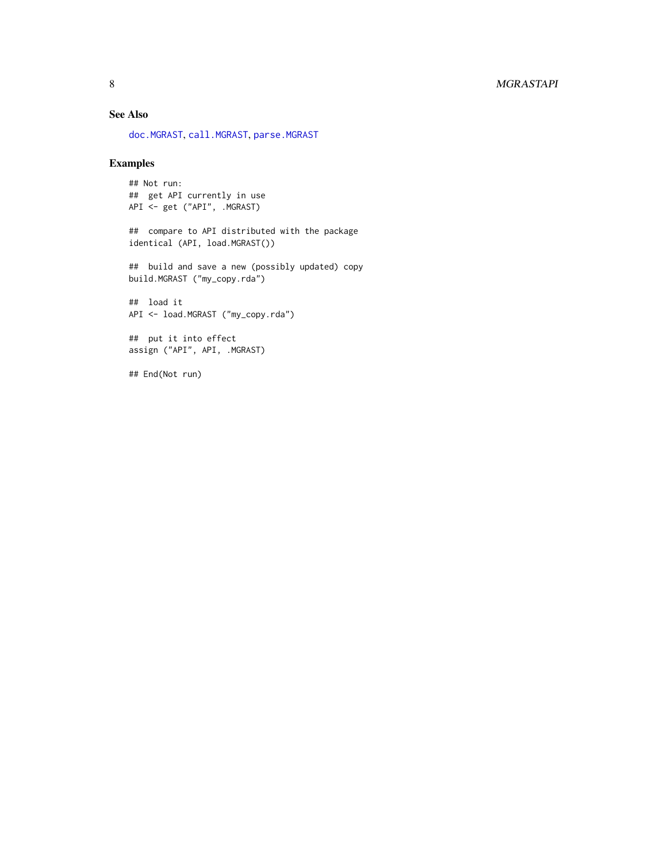#### <span id="page-7-0"></span>8 MGRASTAPI

#### See Also

[doc.MGRAST](#page-4-1), [call.MGRAST](#page-1-1), [parse.MGRAST](#page-1-2)

#### Examples

## Not run: ## get API currently in use API <- get ("API", .MGRAST)

## compare to API distributed with the package identical (API, load.MGRAST())

## build and save a new (possibly updated) copy build.MGRAST ("my\_copy.rda")

## load it API <- load.MGRAST ("my\_copy.rda")

## put it into effect assign ("API", API, .MGRAST)

## End(Not run)